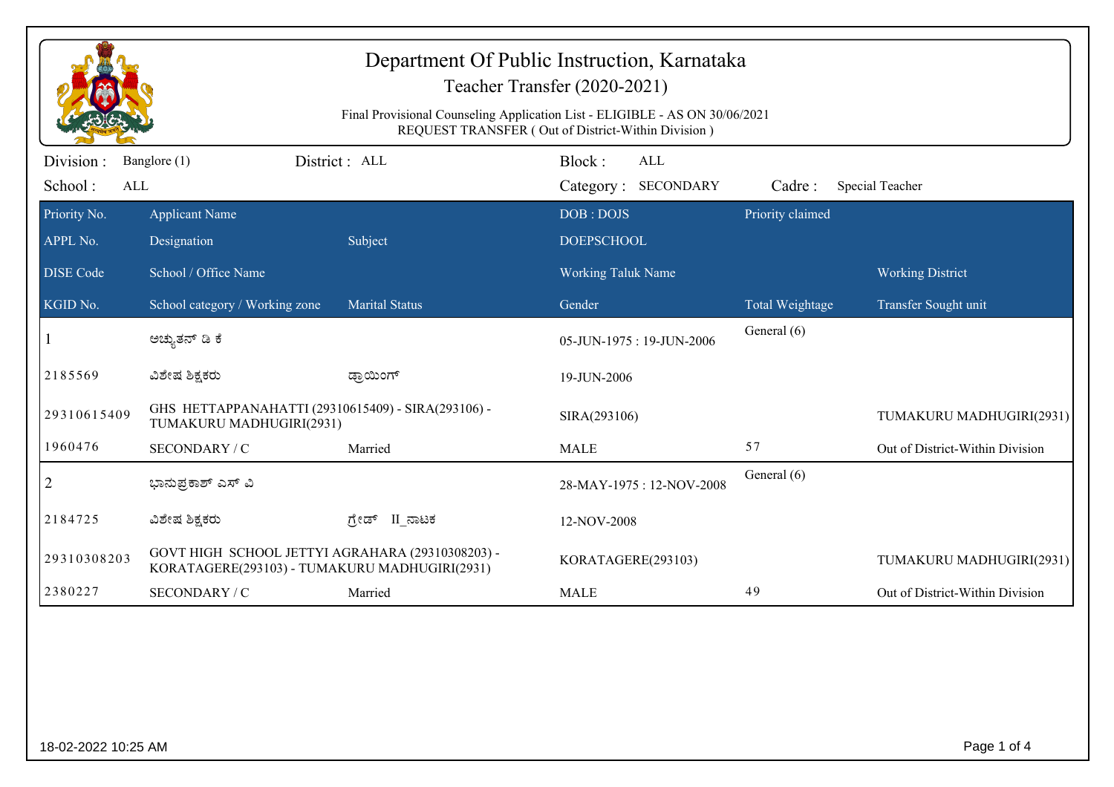| Department Of Public Instruction, Karnataka<br>Teacher Transfer (2020-2021)<br>Final Provisional Counseling Application List - ELIGIBLE - AS ON 30/06/2021<br>REQUEST TRANSFER (Out of District-Within Division) |                                                                                                   |                       |                                      |                  |                                 |
|------------------------------------------------------------------------------------------------------------------------------------------------------------------------------------------------------------------|---------------------------------------------------------------------------------------------------|-----------------------|--------------------------------------|------------------|---------------------------------|
| Division:<br>School:<br>ALL                                                                                                                                                                                      | Banglore (1)                                                                                      | District : ALL        | Block:<br>ALL<br>Category: SECONDARY | Cadre:           | Special Teacher                 |
| Priority No.<br>APPL No.                                                                                                                                                                                         | <b>Applicant Name</b><br>Designation                                                              | Subject               | DOB: DOJS<br><b>DOEPSCHOOL</b>       | Priority claimed |                                 |
| <b>DISE Code</b>                                                                                                                                                                                                 | School / Office Name                                                                              |                       | <b>Working Taluk Name</b>            |                  | <b>Working District</b>         |
| KGID No.                                                                                                                                                                                                         | School category / Working zone                                                                    | <b>Marital Status</b> | Gender                               | Total Weightage  | Transfer Sought unit            |
|                                                                                                                                                                                                                  | ಅಚ್ಯುತನ್ ಡಿ ಕೆ                                                                                    |                       | 05-JUN-1975: 19-JUN-2006             | General (6)      |                                 |
| 2185569                                                                                                                                                                                                          | ವಿಶೇಷ ಶಿಕ್ಷಕರು                                                                                    | ಡ್ರಾಯಿಂಗ್             | 19-JUN-2006                          |                  |                                 |
| 29310615409                                                                                                                                                                                                      | GHS HETTAPPANAHATTI (29310615409) - SIRA(293106) -<br>TUMAKURU MADHUGIRI(2931)                    |                       | SIRA(293106)                         |                  | TUMAKURU MADHUGIRI(2931)        |
| 1960476                                                                                                                                                                                                          | SECONDARY / C                                                                                     | Married               | <b>MALE</b>                          | 57               | Out of District-Within Division |
| $\overline{2}$                                                                                                                                                                                                   | ಭಾನುಪ್ರಕಾಶ್ ಎಸ್ ವಿ                                                                                |                       | 28-MAY-1975: 12-NOV-2008             | General (6)      |                                 |
| 2184725                                                                                                                                                                                                          | ವಿಶೇಷ ಶಿಕ್ಷಕರು                                                                                    | II ನಾಟಕ<br>ಗ್ರೇಡ್     | 12-NOV-2008                          |                  |                                 |
| 29310308203                                                                                                                                                                                                      | GOVT HIGH SCHOOL JETTYI AGRAHARA (29310308203) -<br>KORATAGERE(293103) - TUMAKURU MADHUGIRI(2931) |                       | KORATAGERE(293103)                   |                  | TUMAKURU MADHUGIRI(2931)        |
| 2380227                                                                                                                                                                                                          | SECONDARY / C                                                                                     | Married               | <b>MALE</b>                          | 49               | Out of District-Within Division |
|                                                                                                                                                                                                                  |                                                                                                   |                       |                                      |                  |                                 |
| 18-02-2022 10:25 AM                                                                                                                                                                                              |                                                                                                   |                       |                                      |                  | Page 1 of 4                     |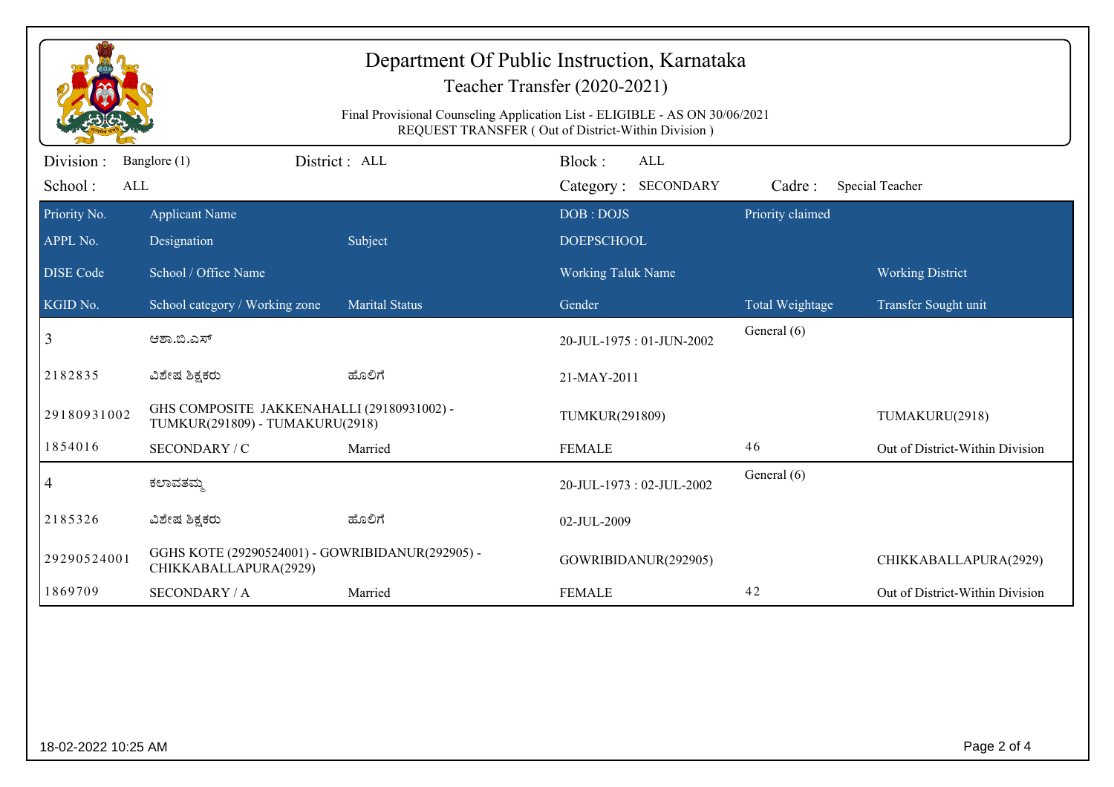| Department Of Public Instruction, Karnataka<br>Teacher Transfer (2020-2021)<br>Final Provisional Counseling Application List - ELIGIBLE - AS ON 30/06/2021<br>REQUEST TRANSFER (Out of District-Within Division) |                                                                               |                       |                                |                  |                                 |
|------------------------------------------------------------------------------------------------------------------------------------------------------------------------------------------------------------------|-------------------------------------------------------------------------------|-----------------------|--------------------------------|------------------|---------------------------------|
| Division :                                                                                                                                                                                                       | Banglore (1)                                                                  | District: ALL         | Block:<br>ALL                  |                  |                                 |
| School:<br>ALL                                                                                                                                                                                                   |                                                                               |                       | Category: SECONDARY            | Cadre:           | <b>Special Teacher</b>          |
| Priority No.<br>APPL No.                                                                                                                                                                                         | <b>Applicant Name</b><br>Designation                                          | Subject               | DOB: DOJS<br><b>DOEPSCHOOL</b> | Priority claimed |                                 |
| <b>DISE</b> Code                                                                                                                                                                                                 | School / Office Name                                                          |                       | <b>Working Taluk Name</b>      |                  | <b>Working District</b>         |
| KGID No.                                                                                                                                                                                                         | School category / Working zone                                                | <b>Marital Status</b> | Gender                         | Total Weightage  | Transfer Sought unit            |
| 3                                                                                                                                                                                                                | ಆಶಾ.ಬಿ.ಎಸ್                                                                    |                       | 20-JUL-1975: 01-JUN-2002       | General (6)      |                                 |
| 2182835                                                                                                                                                                                                          | ವಿಶೇಷ ಶಿಕ್ಷಕರು                                                                | ಹೊಲಿಗೆ                | 21-MAY-2011                    |                  |                                 |
| 29180931002                                                                                                                                                                                                      | GHS COMPOSITE JAKKENAHALLI (29180931002) -<br>TUMKUR(291809) - TUMAKURU(2918) |                       | TUMKUR(291809)                 |                  | TUMAKURU(2918)                  |
| 1854016                                                                                                                                                                                                          | SECONDARY / C                                                                 | Married               | <b>FEMALE</b>                  | 46               | Out of District-Within Division |
| $\overline{4}$                                                                                                                                                                                                   | ಕಲಾವತಮ್ಮ                                                                      |                       | 20-JUL-1973: 02-JUL-2002       | General (6)      |                                 |
| 2185326                                                                                                                                                                                                          | ವಿಶೇಷ ಶಿಕ್ಷಕರು                                                                | ಹೊಲಿಗೆ                | 02-JUL-2009                    |                  |                                 |
|                                                                                                                                                                                                                  | GGHS KOTE (29290524001) - GOWRIBIDANUR(292905) -<br>CHIKKABALLAPURA(2929)     |                       | GOWRIBIDANUR(292905)           |                  | CHIKKABALLAPURA(2929)           |
|                                                                                                                                                                                                                  | <b>SECONDARY / A</b>                                                          | Married               | <b>FEMALE</b>                  | 42               | Out of District-Within Division |
| 29290524001<br>1869709                                                                                                                                                                                           |                                                                               |                       |                                |                  |                                 |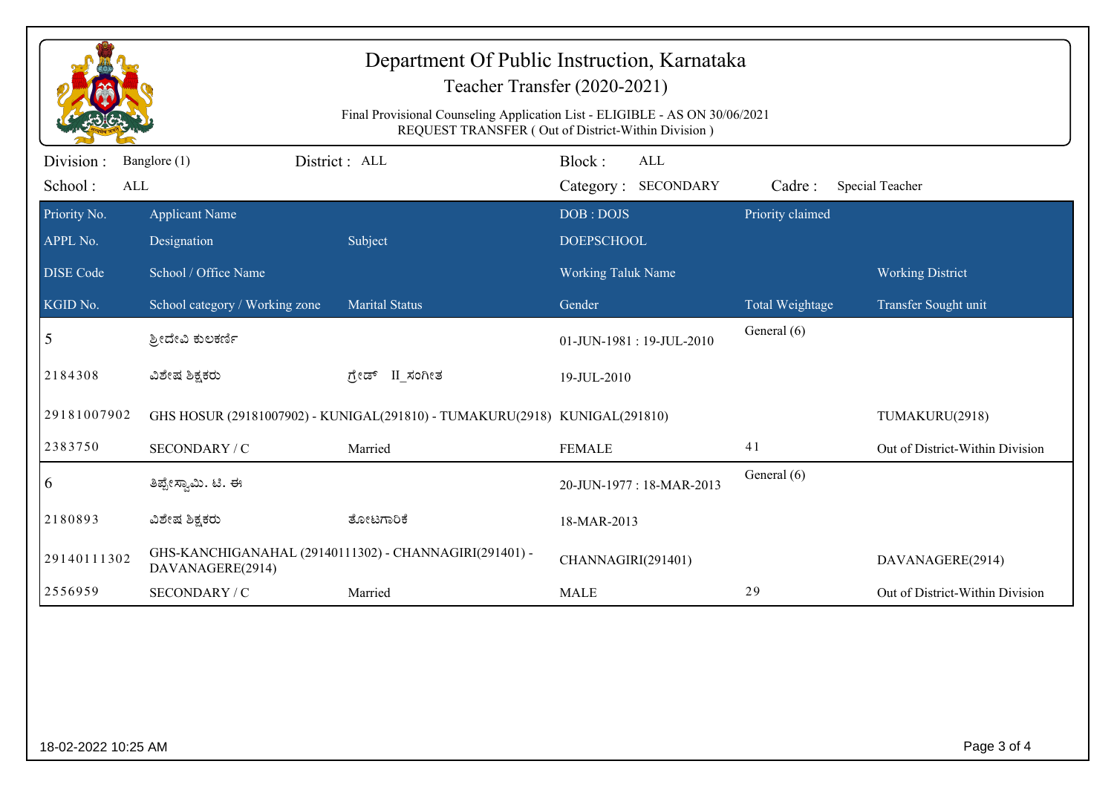| Department Of Public Instruction, Karnataka<br>Teacher Transfer (2020-2021)<br>Final Provisional Counseling Application List - ELIGIBLE - AS ON 30/06/2021<br>REQUEST TRANSFER (Out of District-Within Division) |                                      |                                                                            |                                             |                  |                                 |
|------------------------------------------------------------------------------------------------------------------------------------------------------------------------------------------------------------------|--------------------------------------|----------------------------------------------------------------------------|---------------------------------------------|------------------|---------------------------------|
| Division:<br>School:<br>ALL                                                                                                                                                                                      | Banglore (1)                         | District: ALL                                                              | Block:<br><b>ALL</b><br>Category: SECONDARY | Cadre:           | Special Teacher                 |
| Priority No.<br>APPL No.                                                                                                                                                                                         | <b>Applicant Name</b><br>Designation | Subject                                                                    | DOB: DOJS<br><b>DOEPSCHOOL</b>              | Priority claimed |                                 |
| <b>DISE Code</b>                                                                                                                                                                                                 | School / Office Name                 |                                                                            | <b>Working Taluk Name</b>                   |                  | <b>Working District</b>         |
| KGID No.                                                                                                                                                                                                         | School category / Working zone       | <b>Marital Status</b>                                                      | Gender                                      | Total Weightage  | Transfer Sought unit            |
| 5                                                                                                                                                                                                                | ಶ್ರೀದೇವಿ ಕುಲಕರ್ಣಿ                    |                                                                            | 01-JUN-1981:19-JUL-2010                     | General (6)      |                                 |
| 2184308                                                                                                                                                                                                          | ವಿಶೇಷ ಶಿಕ್ಷಕರು                       | ಗ್ರೇಡ್ II ಸಂಗೀತ                                                            | 19-JUL-2010                                 |                  |                                 |
| 29181007902                                                                                                                                                                                                      |                                      | GHS HOSUR (29181007902) - KUNIGAL(291810) - TUMAKURU(2918) KUNIGAL(291810) |                                             |                  | TUMAKURU(2918)                  |
| 2383750                                                                                                                                                                                                          | SECONDARY / C                        | Married                                                                    | <b>FEMALE</b>                               | 41               | Out of District-Within Division |
| 6                                                                                                                                                                                                                | ತಿಪ್ಪೇಸ್ವಾಮಿ. ಟಿ. ಈ                  |                                                                            | 20-JUN-1977: 18-MAR-2013                    | General (6)      |                                 |
| 2180893                                                                                                                                                                                                          | ವಿಶೇಷ ಶಿಕ್ಷಕರು                       | ತೋಟಗಾರಿಕೆ                                                                  | 18-MAR-2013                                 |                  |                                 |
| 29140111302                                                                                                                                                                                                      | DAVANAGERE(2914)                     | GHS-KANCHIGANAHAL (29140111302) - CHANNAGIRI(291401) -                     | CHANNAGIRI(291401)                          |                  | DAVANAGERE(2914)                |
| 2556959                                                                                                                                                                                                          | SECONDARY / C                        | Married                                                                    | <b>MALE</b>                                 | 29               | Out of District-Within Division |
|                                                                                                                                                                                                                  |                                      |                                                                            |                                             |                  |                                 |
| Page 3 of 4<br>18-02-2022 10:25 AM                                                                                                                                                                               |                                      |                                                                            |                                             |                  |                                 |